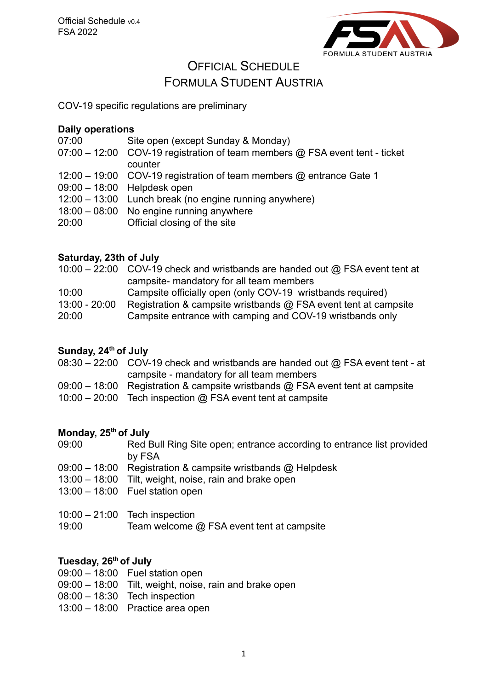

# OFFICIAL SCHEDULE

## FORMULA STUDENT AUSTRIA

COV-19 specific regulations are preliminary

### **Daily operations**

- 07:00 Site open (except Sunday & Monday)
- 07:00 12:00 COV-19 registration of team members @ FSA event tent ticket counter
- 12:00 19:00 COV-19 registration of team members @ entrance Gate 1
- 09:00 18:00 Helpdesk open
- 12:00 13:00 Lunch break (no engine running anywhere)
- 18:00 08:00 No engine running anywhere
- 20:00 Official closing of the site

## **Saturday, 23th of July**

|                 | 10:00 – 22:00 COV-19 check and wristbands are handed out $\omega$ FSA event tent at |  |
|-----------------|-------------------------------------------------------------------------------------|--|
|                 | campsite- mandatory for all team members                                            |  |
| 10:00           | Campsite officially open (only COV-19 wristbands required)                          |  |
| $13:00 - 20:00$ | Registration & campsite wristbands @ FSA event tent at campsite                     |  |
|                 |                                                                                     |  |

20:00 Campsite entrance with camping and COV-19 wristbands only

## **Sunday, 24th of July**

- 08:30 22:00 COV-19 check and wristbands are handed out @ FSA event tent at campsite - mandatory for all team members
- 09:00 18:00 Registration & campsite wristbands @ FSA event tent at campsite
- 10:00 20:00 Tech inspection @ FSA event tent at campsite

#### **Monday, 25th of July**

09:00 Red Bull Ring Site open; entrance according to entrance list provided by FSA

- 09:00 18:00 Registration & campsite wristbands @ Helpdesk
- 13:00 18:00 Tilt, weight, noise, rain and brake open
- 13:00 18:00 Fuel station open
- 10:00 21:00 Tech inspection
- 19:00 Team welcome @ FSA event tent at campsite

#### **Tuesday, 26th of July**

- 09:00 18:00 Fuel station open
- 09:00 18:00 Tilt, weight, noise, rain and brake open
- 08:00 18:30 Tech inspection
- 13:00 18:00 Practice area open